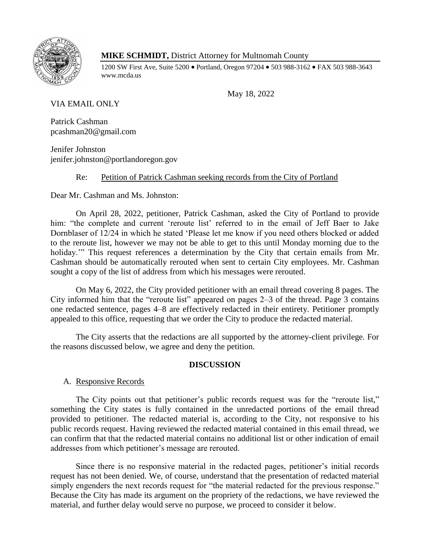

## **MIKE SCHMIDT,** District Attorney for Multnomah County

1200 SW First Ave, Suite 5200 • Portland, Oregon 97204 • 503 988-3162 • FAX 503 988-3643 www.mcda.us

May 18, 2022

VIA EMAIL ONLY

Patrick Cashman pcashman20@gmail.com

Jenifer Johnston jenifer.johnston@portlandoregon.gov

# Re: Petition of Patrick Cashman seeking records from the City of Portland

Dear Mr. Cashman and Ms. Johnston:

On April 28, 2022, petitioner, Patrick Cashman, asked the City of Portland to provide him: "the complete and current 'reroute list' referred to in the email of Jeff Baer to Jake Dornblaser of 12/24 in which he stated 'Please let me know if you need others blocked or added to the reroute list, however we may not be able to get to this until Monday morning due to the holiday." This request references a determination by the City that certain emails from Mr. Cashman should be automatically rerouted when sent to certain City employees. Mr. Cashman sought a copy of the list of address from which his messages were rerouted.

On May 6, 2022, the City provided petitioner with an email thread covering 8 pages. The City informed him that the "reroute list" appeared on pages 2–3 of the thread. Page 3 contains one redacted sentence, pages 4–8 are effectively redacted in their entirety. Petitioner promptly appealed to this office, requesting that we order the City to produce the redacted material.

The City asserts that the redactions are all supported by the attorney-client privilege. For the reasons discussed below, we agree and deny the petition.

## **DISCUSSION**

## A. Responsive Records

The City points out that petitioner's public records request was for the "reroute list," something the City states is fully contained in the unredacted portions of the email thread provided to petitioner. The redacted material is, according to the City, not responsive to his public records request. Having reviewed the redacted material contained in this email thread, we can confirm that that the redacted material contains no additional list or other indication of email addresses from which petitioner's message are rerouted.

Since there is no responsive material in the redacted pages, petitioner's initial records request has not been denied. We, of course, understand that the presentation of redacted material simply engenders the next records request for "the material redacted for the previous response." Because the City has made its argument on the propriety of the redactions, we have reviewed the material, and further delay would serve no purpose, we proceed to consider it below.